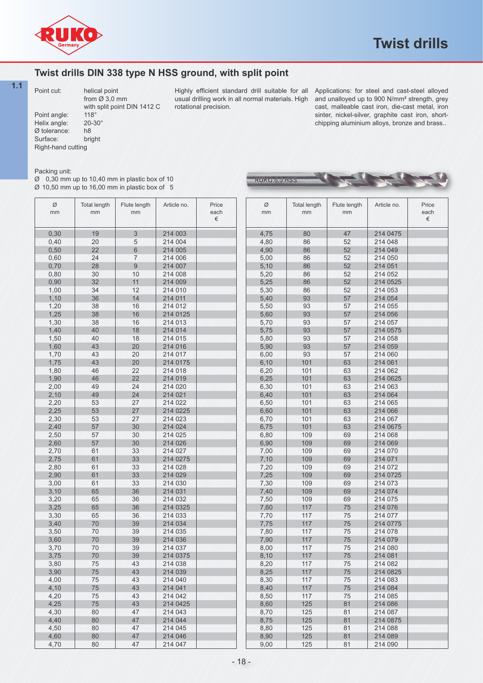

**September 1984** 

## **Twist drills DIN 338 type N HSS ground, with split point**

Point cut: //// helical point from  $\cancel{\emptyset}$  3,0 mm with split point DIN 1412 C<br>118° Point angle: 118°<br>Helix angle: 20-30° Helix angle: 20-<br>20-30 blerance: b8 Ø tolerance: h8 Surface:

**1.1**  $\mathbb{R}$  point out  $\mathbb{R}$  believe point  $\mathbb{R}$  /  $\mathbb{R}$  /  $\mathbb{R}$  is the set of condense of the suitable for all  $\mathbb{R}$  point interviews; for steal and cast steal allowed  $\mathbb{R}$  /  $\mathbb{R}$ Highly efficient standard drill suitable for all usual drilling work in all normal materials. High rotational precision.

RUKO 6,0 HSS

Applications: for steel and cast-steel alloyed and unalloyed up to 900 N/mm² strength, grey cast, malleable cast iron, die-cast metal, iron sinter, nickel-silver, graphite cast iron, shortchipping aluminium alloys, bronze and brass..

## Packing unit:

Right-hand cutting

Ø 0,30 mm up to 10,40 mm in plastic box of 10  $\varnothing$  10,50 mm up to 16,00 mm in plastic box of 5

| Ø<br>mm | <b>Total length</b><br>mm | Flute length<br>mm | Article no. | Price<br>each<br>€ |
|---------|---------------------------|--------------------|-------------|--------------------|
| 0,30    | 19                        | 3                  | 214 003     |                    |
| 0,40    | 20                        | 5                  | 214 004     |                    |
| 0,50    | 22                        | 6                  | 214 005     |                    |
| 0,60    | 24                        | 7                  | 214 006     |                    |
| 0,70    | 28                        | $\overline{9}$     | 214 007     |                    |
| 0,80    | 30                        | 10                 | 214 008     |                    |
| 0,90    | 32                        | 11                 | 214 009     |                    |
| 1,00    | 34                        | 12                 | 214 010     |                    |
| 1,10    | 36                        | 14                 | 214 011     |                    |
| 1,20    | 38                        | 16                 | 214 012     |                    |
| 1,25    | 38                        | 16                 | 214 0125    |                    |
| 1,30    | 38                        | 16                 | 214 013     |                    |
| 1,40    | 40                        | 18                 | 214 014     |                    |
| 1,50    | 40                        | 18                 | 214 015     |                    |
| 1,60    | 43                        | 20                 | 214 016     |                    |
| 1,70    | 43                        | 20                 | 214 017     |                    |
| 1,75    | 43                        | 20                 | 214 0175    |                    |
| 1,80    | 46                        | 22                 | 214 018     |                    |
| 1,90    | 46                        | 22                 | 214 019     |                    |
| 2,00    | 49                        | 24                 | 214 020     |                    |
| 2,10    | 49                        | 24                 | 214 021     |                    |
| 2,20    | 53                        | 27                 | 214 022     |                    |
| 2,25    | 53                        | 27                 | 214 0225    |                    |
| 2,30    | 53                        | 27                 | 214 023     |                    |
| 2,40    | 57                        | 30                 | 214 024     |                    |
| 2,50    | 57                        | 30                 | 214 025     |                    |
| 2,60    | 57                        | 30                 | 214 026     |                    |
| 2,70    | 61                        | 33                 | 214 027     |                    |
| 2,75    | 61                        | 33                 | 214 0275    |                    |
|         | 61                        | 33                 |             |                    |
| 2,80    | 61                        |                    | 214 028     |                    |
| 2,90    |                           | 33                 | 214 029     |                    |
| 3,00    | 61                        | 33                 | 214 030     |                    |
| 3,10    | 65                        | 36                 | 214 031     |                    |
| 3,20    | 65                        | 36                 | 214 032     |                    |
| 3,25    | 65                        | 36                 | 214 0325    |                    |
| 3,30    | 65                        | 36                 | 214 033     |                    |
| 3,40    | 70                        | 39                 | 214 034     |                    |
| 3,50    | 70                        | 39                 | 214 035     |                    |
| 3,60    | 70                        | 39                 | 214 036     |                    |
| 3,70    | 70                        | 39                 | 214 037     |                    |
| 3,75    | 70                        | 39                 | 214 0375    |                    |
| 3,80    | 75                        | 43                 | 214 038     |                    |
| 3,90    | 75                        | 43                 | 214 039     |                    |
| 4,00    | 75                        | 43                 | 214 040     |                    |
| 4,10    | 75                        | 43                 | 214 041     |                    |
| 4,20    | 75                        | 43                 | 214 042     |                    |
| 4,25    | 75                        | 43                 | 214 0425    |                    |
| 4,30    | 80                        | 47                 | 214 043     |                    |
| 4,40    | 80                        | 47                 | 214 044     |                    |
| 4,50    | 80                        | 47                 | 214 045     |                    |
| 4,60    | 80                        | 47                 | 214 046     |                    |
| 4,70    | 80                        | 47                 | 214 047     |                    |

| Ø<br>mm | <b>Total length</b><br>mm | Flute length<br>mm | Article no. | Price<br>each<br>€ |
|---------|---------------------------|--------------------|-------------|--------------------|
| 4,75    | 80                        | 47                 | 214 0475    |                    |
| 4,80    | 86                        | 52                 | 214 048     |                    |
| 4,90    | 86                        | 52                 | 214 049     |                    |
| 5,00    | 86                        | 52                 | 214 050     |                    |
| 5,10    | 86                        | 52                 | 214 051     |                    |
| 5,20    | 86                        | 52                 | 214 052     |                    |
|         | 86                        | 52                 | 214 0525    |                    |
| 5,25    |                           |                    |             |                    |
| 5,30    | 86                        | 52                 | 214 053     |                    |
| 5,40    | 93                        | 57                 | 214 054     |                    |
| 5,50    | 93                        | 57                 | 214 055     |                    |
| 5,60    | 93                        | 57                 | 214 056     |                    |
| 5,70    | 93                        | 57                 | 214 057     |                    |
| 5,75    | 93                        | 57                 | 214 0575    |                    |
| 5,80    | 93                        | 57                 | 214 058     |                    |
| 5,90    | 93                        | 57                 | 214 059     |                    |
| 6,00    | 93                        | 57                 | 214 060     |                    |
| 6, 10   | 101                       | 63                 | 214 061     |                    |
| 6,20    | 101                       | 63                 | 214 062     |                    |
| 6,25    | 101                       | 63                 | 214 0625    |                    |
| 6,30    | 101                       | 63                 | 214 063     |                    |
| 6,40    | 101                       | 63                 | 214 064     |                    |
| 6,50    | 101                       | 63                 | 214 065     |                    |
| 6,60    | 101                       | 63                 | 214 066     |                    |
| 6,70    | 101                       | 63                 | 214 067     |                    |
| 6,75    | 101                       | 63                 | 214 0675    |                    |
| 6,80    | 109                       | 69                 | 214 068     |                    |
| 6,90    | 109                       | 69                 | 214 069     |                    |
| 7,00    | 109                       | 69                 | 214 070     |                    |
| 7,10    | 109                       | 69                 | 214 071     |                    |
| 7,20    | 109                       | 69                 | 214 072     |                    |
| 7,25    | 109                       | 69                 | 214 0725    |                    |
| 7,30    | 109                       | 69                 | 214 073     |                    |
| 7,40    | 109                       | 69                 | 214 074     |                    |
| 7,50    | 109                       | 69                 | 214 075     |                    |
| 7,60    | 117                       | 75                 | 214 076     |                    |
| 7,70    | 117                       | 75                 | 214 077     |                    |
| 7,75    | 117                       | 75                 | 214 0775    |                    |
| 7,80    | 117                       | 75                 | 214 078     |                    |
| 7,90    | 117                       | 75                 | 214 079     |                    |
| 8.00    | 117                       | 75                 | 214 080     |                    |
| 8,10    | 117                       | 75                 | 214 081     |                    |
| 8,20    | 117                       | 75                 | 214 082     |                    |
| 8,25    | 117                       | 75                 | 214 0825    |                    |
| 8,30    | 117                       | 75                 | 214 083     |                    |
| 8,40    | 117                       | 75                 | 214 084     |                    |
| 8,50    | 117                       | 75                 | 214 085     |                    |
| 8,60    | 125                       | 81                 | 214 086     |                    |
| 8,70    | 125                       | 81                 | 214 087     |                    |
| 8,75    | 125                       | 81                 | 214 0875    |                    |
| 8,80    | 125                       | 81                 | 214 088     |                    |
| 8,90    | 125                       | 81                 | 214 089     |                    |
| 9,00    | 125                       | 81                 | 214 090     |                    |